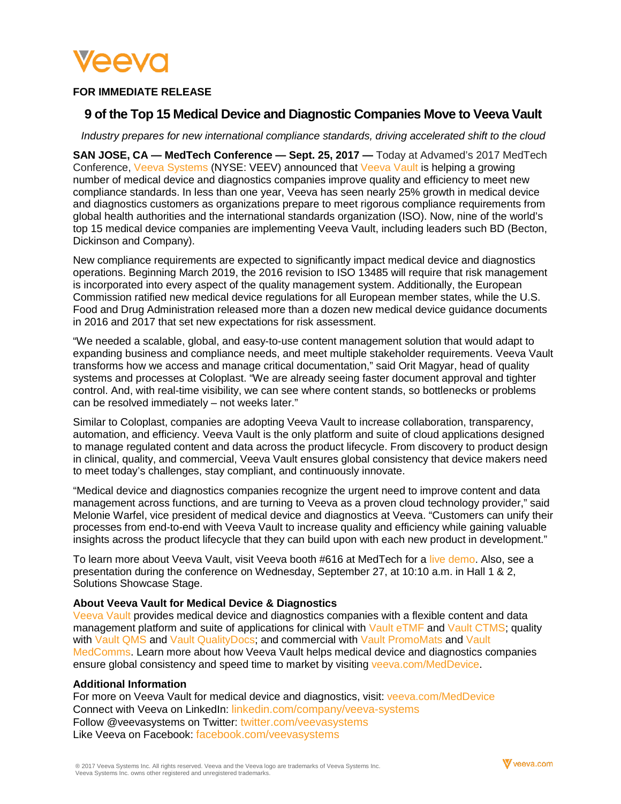

# **FOR IMMEDIATE RELEASE**

# **9 of the Top 15 Medical Device and Diagnostic Companies Move to Veeva Vault**

*Industry prepares for new international compliance standards, driving accelerated shift to the cloud*

**SAN JOSE, CA — MedTech Conference — Sept. 25, 2017 —** Today at Advamed's 2017 MedTech Conference, [Veeva Systems](https://www.veeva.com/) (NYSE: VEEV) announced that [Veeva](https://www.veeva.com/products/vault-ctms/) Vault is helping a growing number of medical device and diagnostics companies improve quality and efficiency to meet new compliance standards. In less than one year, Veeva has seen nearly 25% growth in medical device and diagnostics customers as organizations prepare to meet rigorous compliance requirements from global health authorities and the international standards organization (ISO). Now, nine of the world's top 15 medical device companies are implementing Veeva Vault, including leaders such BD (Becton, Dickinson and Company).

New compliance requirements are expected to significantly impact medical device and diagnostics operations. Beginning March 2019, the 2016 revision to ISO 13485 will require that risk management is incorporated into every aspect of the quality management system. Additionally, the European Commission ratified new medical device regulations for all European member states, while the U.S. Food and Drug Administration released more than a dozen new medical device guidance documents in 2016 and 2017 that set new expectations for risk assessment.

"We needed a scalable, global, and easy-to-use content management solution that would adapt to expanding business and compliance needs, and meet multiple stakeholder requirements. Veeva Vault transforms how we access and manage critical documentation," said Orit Magyar, head of quality systems and processes at Coloplast. "We are already seeing faster document approval and tighter control. And, with real-time visibility, we can see where content stands, so bottlenecks or problems can be resolved immediately – not weeks later."

Similar to Coloplast, companies are adopting Veeva Vault to increase collaboration, transparency, automation, and efficiency. Veeva Vault is the only platform and suite of cloud applications designed to manage regulated content and data across the product lifecycle. From discovery to product design in clinical, quality, and commercial, Veeva Vault ensures global consistency that device makers need to meet today's challenges, stay compliant, and continuously innovate.

"Medical device and diagnostics companies recognize the urgent need to improve content and data management across functions, and are turning to Veeva as a proven cloud technology provider," said Melonie Warfel, vice president of medical device and diagnostics at Veeva. "Customers can unify their processes from end-to-end with Veeva Vault to increase quality and efficiency while gaining valuable insights across the product lifecycle that they can build upon with each new product in development."

To learn more about Veeva Vault, visit Veeva booth #616 at MedTech for a live [demo.](https://www.veeva.com/products/vault-ctms/?wvideo=hsh270lxc1) Also, see a presentation during the conference on Wednesday, September 27, at 10:10 a.m. in Hall 1 & 2, Solutions Showcase Stage.

## **About Veeva Vault for Medical Device & Diagnostics**

[Veeva](https://www.veeva.com/products/vault-platform/) Vault provides medical device and diagnostics companies with a flexible content and data management platform and suite of applications for clinical with [Vault eTMF](https://www.veeva.com/products/vault-etmf/) and [Vault CTMS;](https://www.veeva.com/products/vault-ctms/) quality with [Vault QMS](https://www.veeva.com/products/vault-qms/) and [Vault QualityDocs;](https://www.veeva.com/products/vault-qualitydocs/) and commercial with [Vault PromoMats](https://www.veeva.com/products/content-management/vault-promomats/) and Vault [MedComms.](https://www.veeva.com/products/vault-medcomms/) Learn more about how Veeva Vault helps medical device and diagnostics companies ensure global consistency and speed time to market by visiting [veeva.com/MedDevice.](https://www.veeva.com/products/medical-devices/)

## **Additional Information**

For more on Veeva Vault for medical device and diagnostics, visit: [veeva.com/MedDevice](https://www.veeva.com/products/medical-devices/) Connect with Veeva on LinkedIn: [linkedin.com/company/veeva-systems](http://www.linkedin.com/company/veeva-systems) Follow @veevasystems on Twitter: [twitter.com/veevasystems](https://twitter.com/veevasystems) Like Veeva on Facebook: [facebook.com/veevasystems](https://www.facebook.com/VeevaSystems)